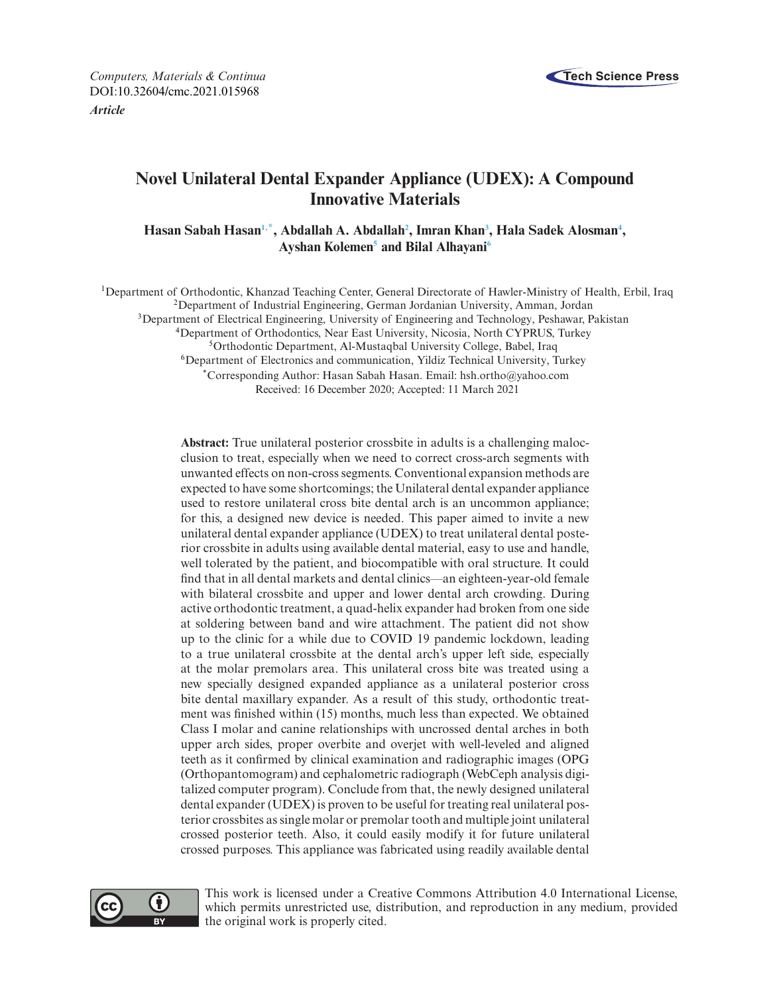

*Computers, Materials & Continua* **Tech Science Press** DOI[:10.32604/cmc.2021.015968](http://dx.doi.org/10.32604/cmc.2021.015968) *Article*

# **Novel Unilateral Dental Expander Appliance (UDEX): A Compound Innovative Materials**

Hasan Sabah Hasan<sup>1,\*</sup>, Abdallah A. Abdallah<sup>2</sup>, Imran Khan<sup>3</sup>, Hala Sadek Alosman<sup>4</sup>, **Ayshan Koleme[n5](#page-0-5) and Bilal Alhayan[i6](#page-0-6)**

<span id="page-0-0"></span>1Department of Orthodontic, Khanzad Teaching Center, General Directorate of Hawler-Ministry of Health, Erbil, Iraq

2Department of Industrial Engineering, German Jordanian University, Amman, Jordan

<span id="page-0-3"></span><sup>3</sup>Department of Electrical Engineering, University of Engineering and Technology, Peshawar, Pakistan

<span id="page-0-4"></span><span id="page-0-2"></span>4Department of Orthodontics, Near East University, Nicosia, North CYPRUS, Turkey

<span id="page-0-5"></span>5Orthodontic Department, Al-Mustaqbal University College, Babel, Iraq

<span id="page-0-6"></span><sup>6</sup>Department of Electronics and communication, Yildiz Technical University, Turkey

<span id="page-0-1"></span>\*Corresponding Author: Hasan Sabah Hasan. Email: hsh.ortho@yahoo.com Received: 16 December 2020; Accepted: 11 March 2021

**Abstract:** True unilateral posterior crossbite in adults is a challenging malocclusion to treat, especially when we need to correct cross-arch segments with unwanted effects on non-cross segments. Conventional expansion methods are expected to have some shortcomings; the Unilateral dental expander appliance used to restore unilateral cross bite dental arch is an uncommon appliance; for this, a designed new device is needed. This paper aimed to invite a new unilateral dental expander appliance (UDEX) to treat unilateral dental posterior crossbite in adults using available dental material, easy to use and handle, well tolerated by the patient, and biocompatible with oral structure. It could find that in all dental markets and dental clinics—an eighteen-year-old female with bilateral crossbite and upper and lower dental arch crowding. During active orthodontic treatment, a quad-helix expander had broken from one side at soldering between band and wire attachment. The patient did not show up to the clinic for a while due to COVID 19 pandemic lockdown, leading to a true unilateral crossbite at the dental arch's upper left side, especially at the molar premolars area. This unilateral cross bite was treated using a new specially designed expanded appliance as a unilateral posterior cross bite dental maxillary expander. As a result of this study, orthodontic treatment was finished within (15) months, much less than expected. We obtained Class I molar and canine relationships with uncrossed dental arches in both upper arch sides, proper overbite and overjet with well-leveled and aligned teeth as it confirmed by clinical examination and radiographic images (OPG (Orthopantomogram) and cephalometric radiograph (WebCeph analysis digitalized computer program). Conclude from that, the newly designed unilateral dental expander (UDEX) is proven to be useful for treating real unilateral posterior crossbites as single molar or premolar tooth and multiple joint unilateral crossed posterior teeth. Also, it could easily modify it for future unilateral crossed purposes. This appliance was fabricated using readily available dental



This work is licensed under a Creative Commons Attribution 4.0 International License, which permits unrestricted use, distribution, and reproduction in any medium, provided the original work is properly cited.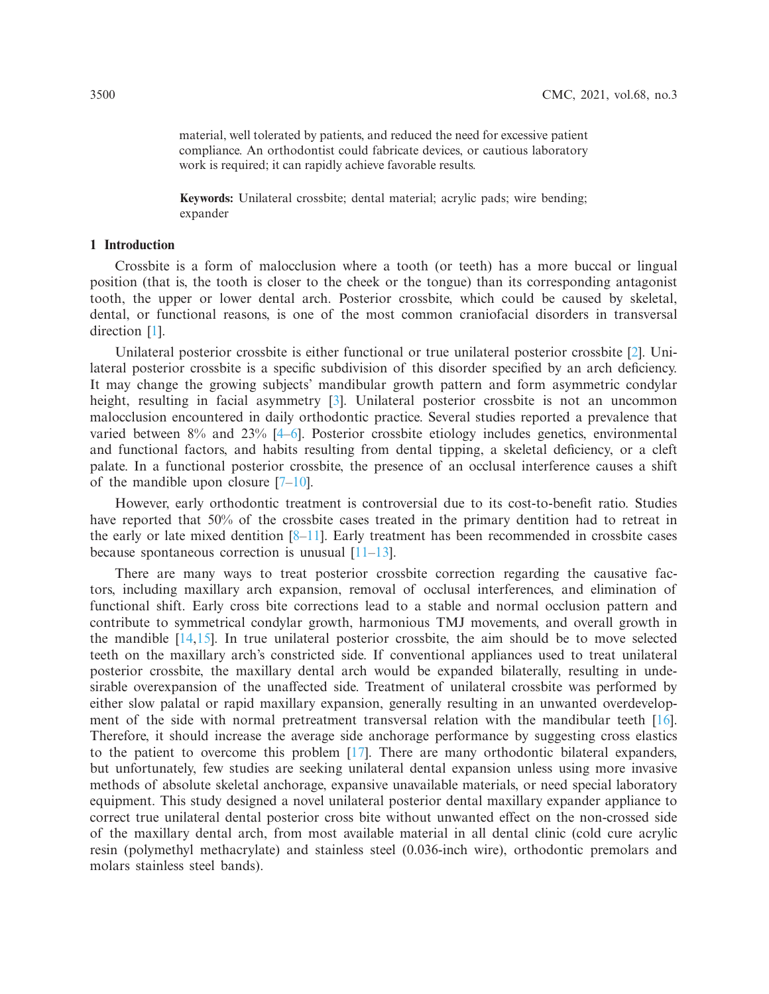material, well tolerated by patients, and reduced the need for excessive patient compliance. An orthodontist could fabricate devices, or cautious laboratory work is required; it can rapidly achieve favorable results.

**Keywords:** Unilateral crossbite; dental material; acrylic pads; wire bending; expander

# **1 Introduction**

Crossbite is a form of malocclusion where a tooth (or teeth) has a more buccal or lingual position (that is, the tooth is closer to the cheek or the tongue) than its corresponding antagonist tooth, the upper or lower dental arch. Posterior crossbite, which could be caused by skeletal, dental, or functional reasons, is one of the most common craniofacial disorders in transversal direction [\[1\]](#page-10-0).

Unilateral posterior crossbite is either functional or true unilateral posterior crossbite [\[2](#page-10-1)]. Unilateral posterior crossbite is a specific subdivision of this disorder specified by an arch deficiency. It may change the growing subjects' mandibular growth pattern and form asymmetric condylar height, resulting in facial asymmetry [\[3\]](#page-10-2). Unilateral posterior crossbite is not an uncommon malocclusion encountered in daily orthodontic practice. Several studies reported a prevalence that varied between 8% and 23% [\[4](#page-10-3)[–6](#page-10-4)]. Posterior crossbite etiology includes genetics, environmental and functional factors, and habits resulting from dental tipping, a skeletal deficiency, or a cleft palate. In a functional posterior crossbite, the presence of an occlusal interference causes a shift of the mandible upon closure [\[7](#page-10-5)[–10\]](#page-11-0).

However, early orthodontic treatment is controversial due to its cost-to-benefit ratio. Studies have reported that 50% of the crossbite cases treated in the primary dentition had to retreat in the early or late mixed dentition  $[8-11]$  $[8-11]$ . Early treatment has been recommended in crossbite cases because spontaneous correction is unusual  $[11-13]$  $[11-13]$ .

There are many ways to treat posterior crossbite correction regarding the causative factors, including maxillary arch expansion, removal of occlusal interferences, and elimination of functional shift. Early cross bite corrections lead to a stable and normal occlusion pattern and contribute to symmetrical condylar growth, harmonious TMJ movements, and overall growth in the mandible  $[14,15]$  $[14,15]$ . In true unilateral posterior crossbite, the aim should be to move selected teeth on the maxillary arch's constricted side. If conventional appliances used to treat unilateral posterior crossbite, the maxillary dental arch would be expanded bilaterally, resulting in undesirable overexpansion of the unaffected side. Treatment of unilateral crossbite was performed by either slow palatal or rapid maxillary expansion, generally resulting in an unwanted overdevelopment of the side with normal pretreatment transversal relation with the mandibular teeth [\[16\]](#page-11-6). Therefore, it should increase the average side anchorage performance by suggesting cross elastics to the patient to overcome this problem [\[17\]](#page-11-7). There are many orthodontic bilateral expanders, but unfortunately, few studies are seeking unilateral dental expansion unless using more invasive methods of absolute skeletal anchorage, expansive unavailable materials, or need special laboratory equipment. This study designed a novel unilateral posterior dental maxillary expander appliance to correct true unilateral dental posterior cross bite without unwanted effect on the non-crossed side of the maxillary dental arch, from most available material in all dental clinic (cold cure acrylic resin (polymethyl methacrylate) and stainless steel (0.036-inch wire), orthodontic premolars and molars stainless steel bands).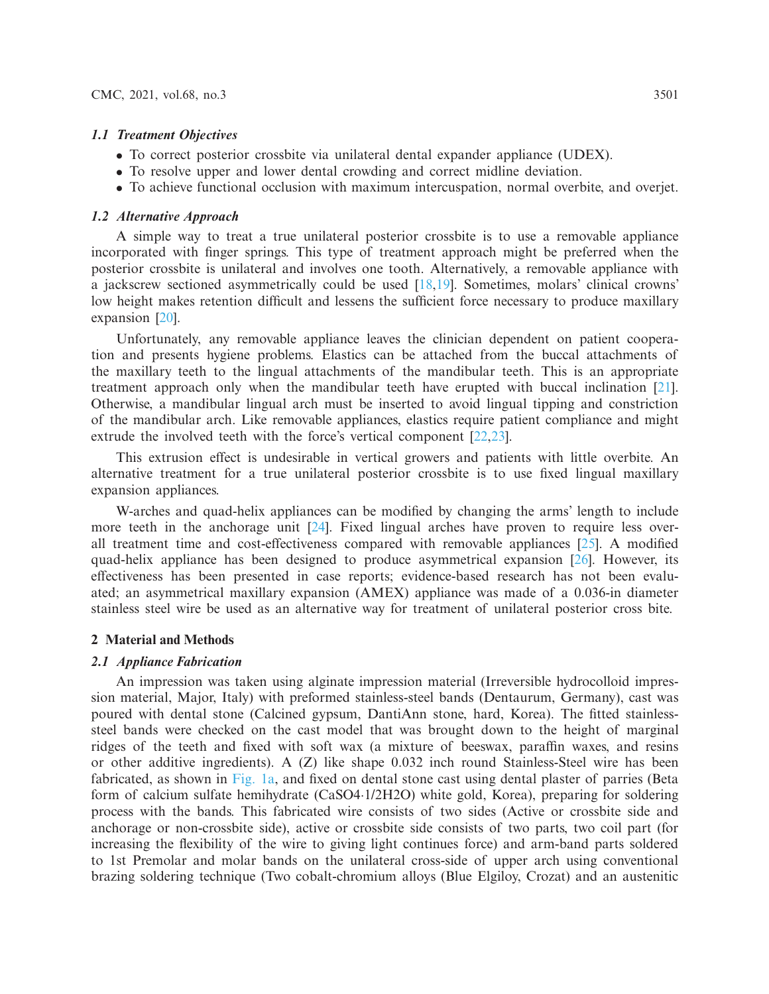#### *1.1 Treatment Objectives*

- To correct posterior crossbite via unilateral dental expander appliance (UDEX).
- To resolve upper and lower dental crowding and correct midline deviation.
- To achieve functional occlusion with maximum intercuspation, normal overbite, and overjet.

### *1.2 Alternative Approach*

A simple way to treat a true unilateral posterior crossbite is to use a removable appliance incorporated with finger springs. This type of treatment approach might be preferred when the posterior crossbite is unilateral and involves one tooth. Alternatively, a removable appliance with a jackscrew sectioned asymmetrically could be used [\[18](#page-11-8)[,19\]](#page-11-9). Sometimes, molars' clinical crowns' low height makes retention difficult and lessens the sufficient force necessary to produce maxillary expansion [\[20\]](#page-11-10).

Unfortunately, any removable appliance leaves the clinician dependent on patient cooperation and presents hygiene problems. Elastics can be attached from the buccal attachments of the maxillary teeth to the lingual attachments of the mandibular teeth. This is an appropriate treatment approach only when the mandibular teeth have erupted with buccal inclination [\[21\]](#page-11-11). Otherwise, a mandibular lingual arch must be inserted to avoid lingual tipping and constriction of the mandibular arch. Like removable appliances, elastics require patient compliance and might extrude the involved teeth with the force's vertical component [\[22](#page-11-12)[,23](#page-11-13)].

This extrusion effect is undesirable in vertical growers and patients with little overbite. An alternative treatment for a true unilateral posterior crossbite is to use fixed lingual maxillary expansion appliances.

W-arches and quad-helix appliances can be modified by changing the arms' length to include more teeth in the anchorage unit  $[24]$ . Fixed lingual arches have proven to require less overall treatment time and cost-effectiveness compared with removable appliances [\[25\]](#page-11-15). A modified quad-helix appliance has been designed to produce asymmetrical expansion [\[26](#page-11-16)]. However, its effectiveness has been presented in case reports; evidence-based research has not been evaluated; an asymmetrical maxillary expansion (AMEX) appliance was made of a 0.036-in diameter stainless steel wire be used as an alternative way for treatment of unilateral posterior cross bite.

# **2 Material and Methods**

#### *2.1 Appliance Fabrication*

An impression was taken using alginate impression material (Irreversible hydrocolloid impression material, Major, Italy) with preformed stainless-steel bands (Dentaurum, Germany), cast was poured with dental stone (Calcined gypsum, DantiAnn stone, hard, Korea). The fitted stainlesssteel bands were checked on the cast model that was brought down to the height of marginal ridges of the teeth and fixed with soft wax (a mixture of beeswax, paraffin waxes, and resins or other additive ingredients). A (Z) like shape 0.032 inch round Stainless-Steel wire has been fabricated, as shown in [Fig. 1a,](#page-4-0) and fixed on dental stone cast using dental plaster of parries (Beta form of calcium sulfate hemihydrate (CaSO4·1/2H2O) white gold, Korea), preparing for soldering process with the bands. This fabricated wire consists of two sides (Active or crossbite side and anchorage or non-crossbite side), active or crossbite side consists of two parts, two coil part (for increasing the flexibility of the wire to giving light continues force) and arm-band parts soldered to 1st Premolar and molar bands on the unilateral cross-side of upper arch using conventional brazing soldering technique (Two cobalt-chromium alloys (Blue Elgiloy, Crozat) and an austenitic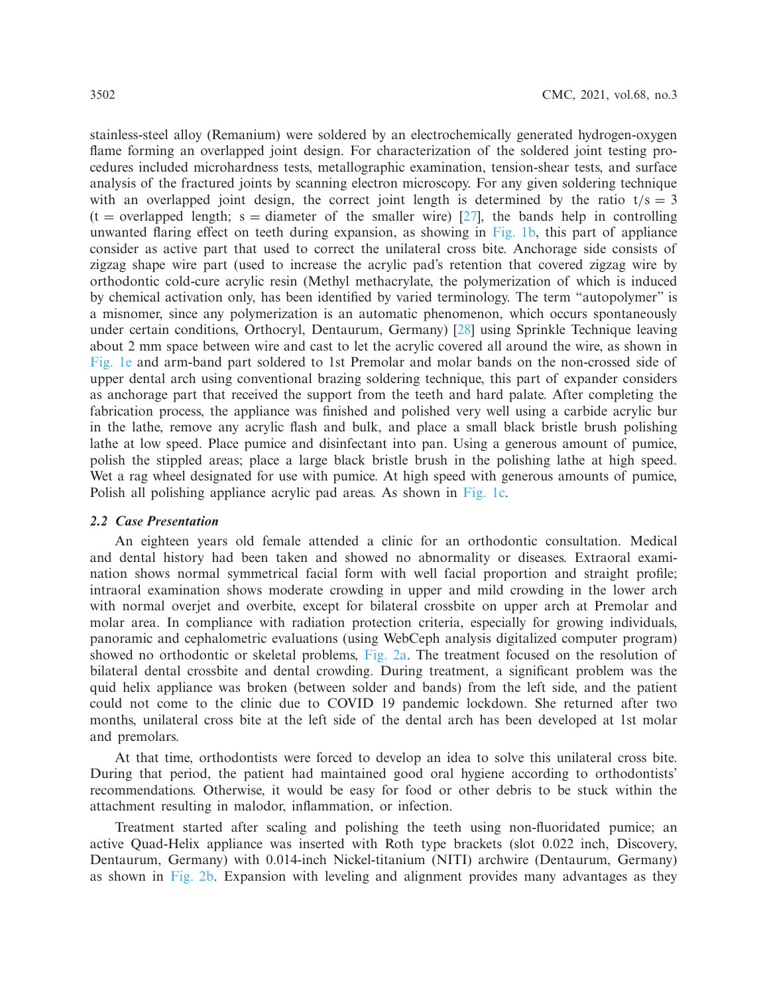stainless-steel alloy (Remanium) were soldered by an electrochemically generated hydrogen-oxygen flame forming an overlapped joint design. For characterization of the soldered joint testing procedures included microhardness tests, metallographic examination, tension-shear tests, and surface analysis of the fractured joints by scanning electron microscopy. For any given soldering technique with an overlapped joint design, the correct joint length is determined by the ratio  $t/s = 3$  $(t =$  overlapped length; s = diameter of the smaller wire) [\[27\]](#page-12-0), the bands help in controlling unwanted flaring effect on teeth during expansion, as showing in [Fig. 1b,](#page-4-0) this part of appliance consider as active part that used to correct the unilateral cross bite. Anchorage side consists of zigzag shape wire part (used to increase the acrylic pad's retention that covered zigzag wire by orthodontic cold-cure acrylic resin (Methyl methacrylate, the polymerization of which is induced by chemical activation only, has been identified by varied terminology. The term "autopolymer" is a misnomer, since any polymerization is an automatic phenomenon, which occurs spontaneously under certain conditions, Orthocryl, Dentaurum, Germany) [\[28](#page-12-1)] using Sprinkle Technique leaving about 2 mm space between wire and cast to let the acrylic covered all around the wire, as shown in [Fig. 1e](#page-4-0) and arm-band part soldered to 1st Premolar and molar bands on the non-crossed side of upper dental arch using conventional brazing soldering technique, this part of expander considers as anchorage part that received the support from the teeth and hard palate. After completing the fabrication process, the appliance was finished and polished very well using a carbide acrylic bur in the lathe, remove any acrylic flash and bulk, and place a small black bristle brush polishing lathe at low speed. Place pumice and disinfectant into pan. Using a generous amount of pumice, polish the stippled areas; place a large black bristle brush in the polishing lathe at high speed. Wet a rag wheel designated for use with pumice. At high speed with generous amounts of pumice, Polish all polishing appliance acrylic pad areas. As shown in [Fig. 1c.](#page-4-0)

#### *2.2 Case Presentation*

An eighteen years old female attended a clinic for an orthodontic consultation. Medical and dental history had been taken and showed no abnormality or diseases. Extraoral examination shows normal symmetrical facial form with well facial proportion and straight profile; intraoral examination shows moderate crowding in upper and mild crowding in the lower arch with normal overjet and overbite, except for bilateral crossbite on upper arch at Premolar and molar area. In compliance with radiation protection criteria, especially for growing individuals, panoramic and cephalometric evaluations (using WebCeph analysis digitalized computer program) showed no orthodontic or skeletal problems, [Fig. 2a.](#page-5-0) The treatment focused on the resolution of bilateral dental crossbite and dental crowding. During treatment, a significant problem was the quid helix appliance was broken (between solder and bands) from the left side, and the patient could not come to the clinic due to COVID 19 pandemic lockdown. She returned after two months, unilateral cross bite at the left side of the dental arch has been developed at 1st molar and premolars.

At that time, orthodontists were forced to develop an idea to solve this unilateral cross bite. During that period, the patient had maintained good oral hygiene according to orthodontists' recommendations. Otherwise, it would be easy for food or other debris to be stuck within the attachment resulting in malodor, inflammation, or infection.

Treatment started after scaling and polishing the teeth using non-fluoridated pumice; an active Quad-Helix appliance was inserted with Roth type brackets (slot 0.022 inch, Discovery, Dentaurum, Germany) with 0.014-inch Nickel-titanium (NITI) archwire (Dentaurum, Germany) as shown in [Fig. 2b.](#page-5-0) Expansion with leveling and alignment provides many advantages as they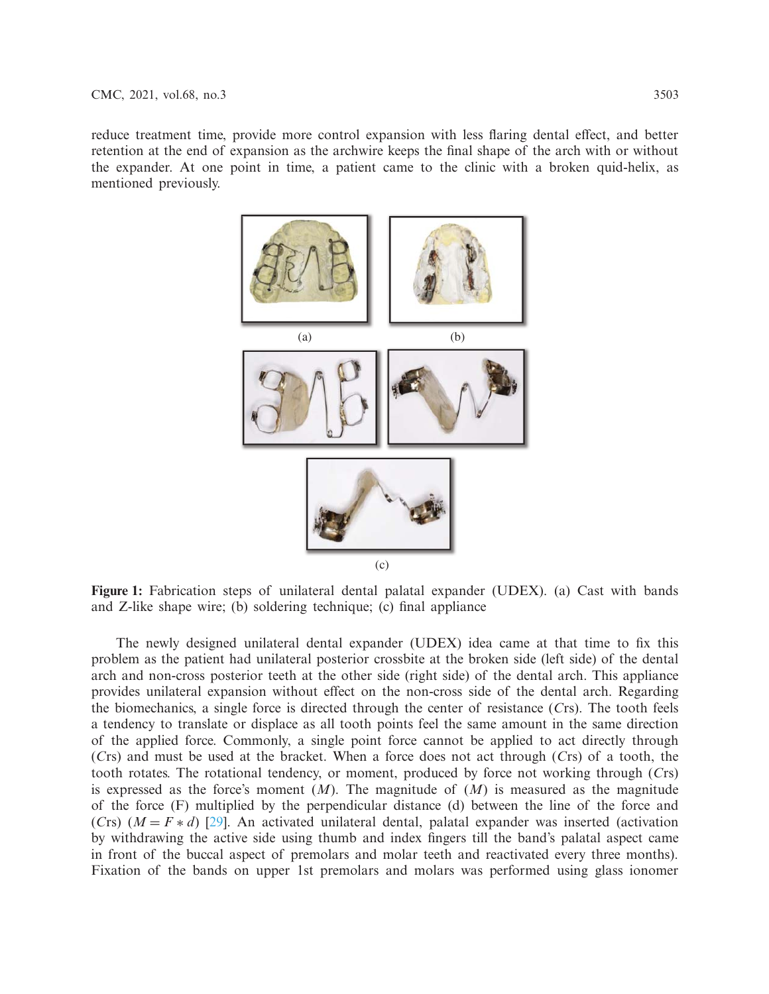reduce treatment time, provide more control expansion with less flaring dental effect, and better retention at the end of expansion as the archwire keeps the final shape of the arch with or without the expander. At one point in time, a patient came to the clinic with a broken quid-helix, as mentioned previously.



<span id="page-4-0"></span>**Figure 1:** Fabrication steps of unilateral dental palatal expander (UDEX). (a) Cast with bands and Z-like shape wire; (b) soldering technique; (c) final appliance

The newly designed unilateral dental expander (UDEX) idea came at that time to fix this problem as the patient had unilateral posterior crossbite at the broken side (left side) of the dental arch and non-cross posterior teeth at the other side (right side) of the dental arch. This appliance provides unilateral expansion without effect on the non-cross side of the dental arch. Regarding the biomechanics, a single force is directed through the center of resistance (*C*rs). The tooth feels a tendency to translate or displace as all tooth points feel the same amount in the same direction of the applied force. Commonly, a single point force cannot be applied to act directly through (*C*rs) and must be used at the bracket. When a force does not act through (*C*rs) of a tooth, the tooth rotates. The rotational tendency, or moment, produced by force not working through (*C*rs) is expressed as the force's moment  $(M)$ . The magnitude of  $(M)$  is measured as the magnitude of the force (F) multiplied by the perpendicular distance (d) between the line of the force and (*Crs*)  $(M = F * d)$  [\[29\]](#page-12-2). An activated unilateral dental, palatal expander was inserted (activation by withdrawing the active side using thumb and index fingers till the band's palatal aspect came in front of the buccal aspect of premolars and molar teeth and reactivated every three months). Fixation of the bands on upper 1st premolars and molars was performed using glass ionomer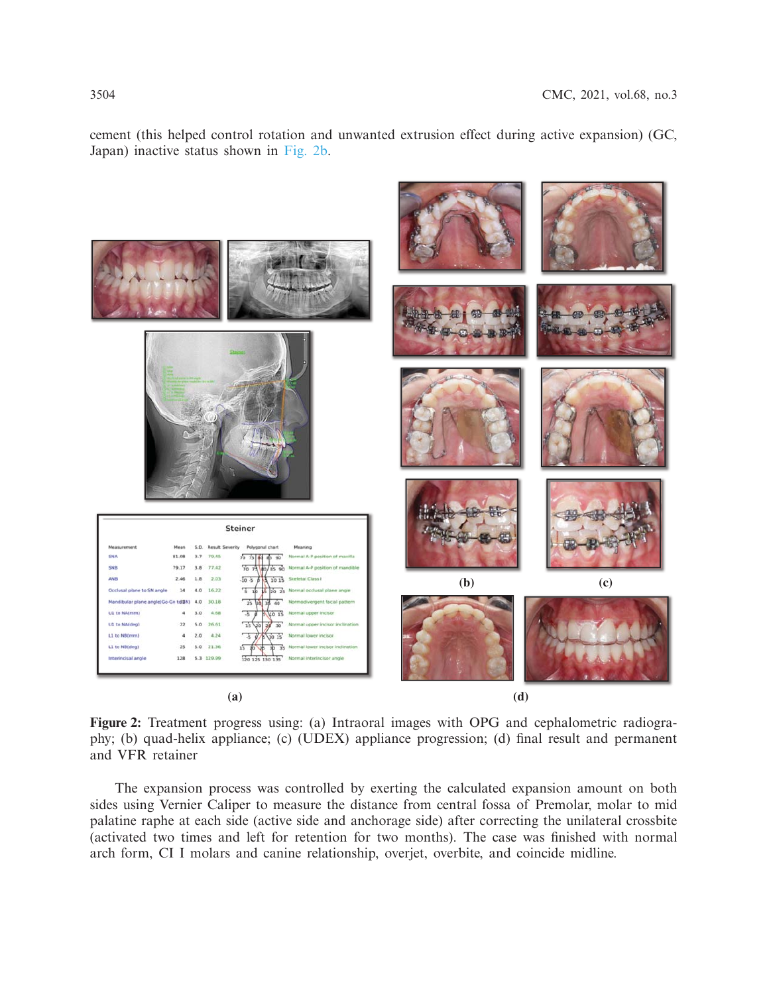cement (this helped control rotation and unwanted extrusion effect during active expansion) (GC, Japan) inactive status shown in [Fig. 2b.](#page-5-0)



<span id="page-5-0"></span>**Figure 2:** Treatment progress using: (a) Intraoral images with OPG and cephalometric radiography; (b) quad-helix appliance; (c) (UDEX) appliance progression; (d) final result and permanent and VFR retainer

The expansion process was controlled by exerting the calculated expansion amount on both sides using Vernier Caliper to measure the distance from central fossa of Premolar, molar to mid palatine raphe at each side (active side and anchorage side) after correcting the unilateral crossbite (activated two times and left for retention for two months). The case was finished with normal arch form, CI I molars and canine relationship, overjet, overbite, and coincide midline.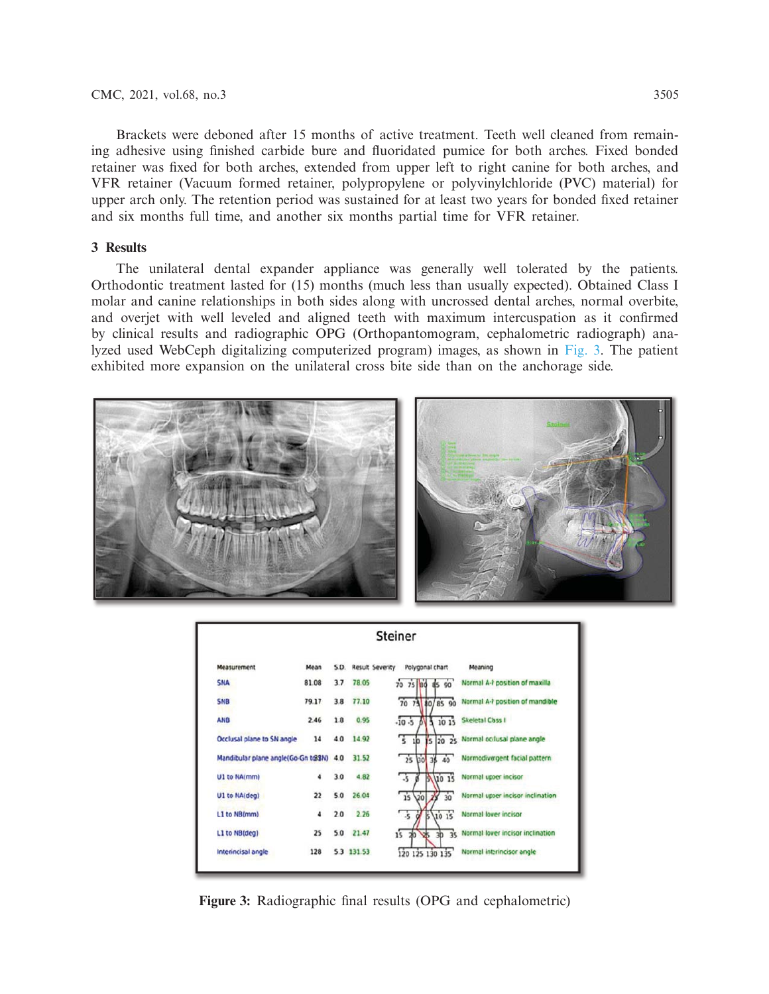Brackets were deboned after 15 months of active treatment. Teeth well cleaned from remaining adhesive using finished carbide bure and fluoridated pumice for both arches. Fixed bonded retainer was fixed for both arches, extended from upper left to right canine for both arches, and VFR retainer (Vacuum formed retainer, polypropylene or polyvinylchloride (PVC) material) for upper arch only. The retention period was sustained for at least two years for bonded fixed retainer and six months full time, and another six months partial time for VFR retainer.

# **3 Results**

The unilateral dental expander appliance was generally well tolerated by the patients. Orthodontic treatment lasted for (15) months (much less than usually expected). Obtained Class I molar and canine relationships in both sides along with uncrossed dental arches, normal overbite, and overjet with well leveled and aligned teeth with maximum intercuspation as it confirmed by clinical results and radiographic OPG (Orthopantomogram, cephalometric radiograph) analyzed used WebCeph digitalizing computerized program) images, as shown in [Fig. 3.](#page-6-0) The patient exhibited more expansion on the unilateral cross bite side than on the anchorage side.



| Steiner                             |       |      |                        |                                          |                                   |  |  |
|-------------------------------------|-------|------|------------------------|------------------------------------------|-----------------------------------|--|--|
| Measurement                         | Mean  | S.D. | <b>Result Severity</b> | Polygonal chart                          | Meaning                           |  |  |
| <b>SNA</b>                          | 81.08 | 3.7  | 78.05                  | 90<br>75 80 85<br>70                     | Normal A-P position of maxilla    |  |  |
| <b>SNB</b>                          | 79.17 | 3.8  | 77.10                  | 70 73 80/85 90                           | Normal A-P position of mandible   |  |  |
| <b>ANB</b>                          | 2.46  | 1.8  | 0.95                   | $-10.5$<br>1015                          | Skeletal Class I                  |  |  |
| Occlusal plane to SN angle          | 14    | 4.0  | 14.92                  | 75<br>Ys.<br>1 <sub>b</sub>              | 20 25 Normal occlusal plane angle |  |  |
| Mandibular plane angle(Go-Gn tr88N) |       | 4.0  | 31.52                  | $\overline{25}$<br>130<br>38<br>40       | Normodivergent facial pattern     |  |  |
| U1 to NA(mm)                        | 4     | 3.0  | 4.82                   | <b>uo</b> 15<br>Ŋ<br>$\cdot$ s           | Normal upper incisor              |  |  |
| U1 to NA(deg)                       | 22    | 5.0  | 26.04                  | 15<br>$\overline{30}$<br>vo<br>Х         | Normal upper incisor inclination  |  |  |
| L1 to NB(mm)                        | 4     | 2.0  | 2.26                   | М<br>$5\sqrt{10}$ 15<br>.5               | Normal lower incisor              |  |  |
| L1 to NB(deg)                       | 25    | 5.0  | 21.47                  | $\overline{15}$<br>35<br>Ġ.<br>э'n<br>3b | Normal lower incisor inclination  |  |  |
| Interincisal angle                  | 128   |      | 5.3 131.53             | 120 125 130 135                          | Normal interincisor angle         |  |  |

<span id="page-6-0"></span>**Figure 3:** Radiographic final results (OPG and cephalometric)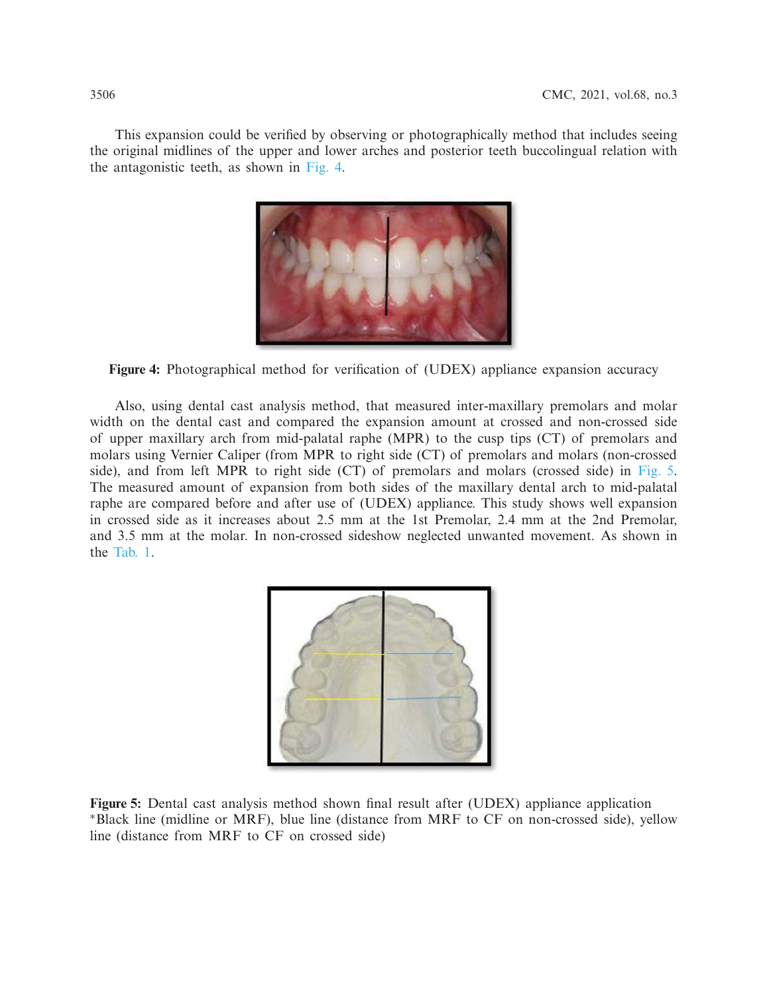This expansion could be verified by observing or photographically method that includes seeing the original midlines of the upper and lower arches and posterior teeth buccolingual relation with the antagonistic teeth, as shown in [Fig. 4.](#page-7-0)



<span id="page-7-0"></span>**Figure 4:** Photographical method for verification of (UDEX) appliance expansion accuracy

Also, using dental cast analysis method, that measured inter-maxillary premolars and molar width on the dental cast and compared the expansion amount at crossed and non-crossed side of upper maxillary arch from mid-palatal raphe (MPR) to the cusp tips (CT) of premolars and molars using Vernier Caliper (from MPR to right side (CT) of premolars and molars (non-crossed side), and from left MPR to right side (CT) of premolars and molars (crossed side) in [Fig. 5.](#page-7-1) The measured amount of expansion from both sides of the maxillary dental arch to mid-palatal raphe are compared before and after use of (UDEX) appliance. This study shows well expansion in crossed side as it increases about 2.5 mm at the 1st Premolar, 2.4 mm at the 2nd Premolar, and 3.5 mm at the molar. In non-crossed sideshow neglected unwanted movement. As shown in the [Tab. 1.](#page-8-0)

<span id="page-7-1"></span>

**Figure 5:** Dental cast analysis method shown final result after (UDEX) appliance application ∗Black line (midline or MRF), blue line (distance from MRF to CF on non-crossed side), yellow line (distance from MRF to CF on crossed side)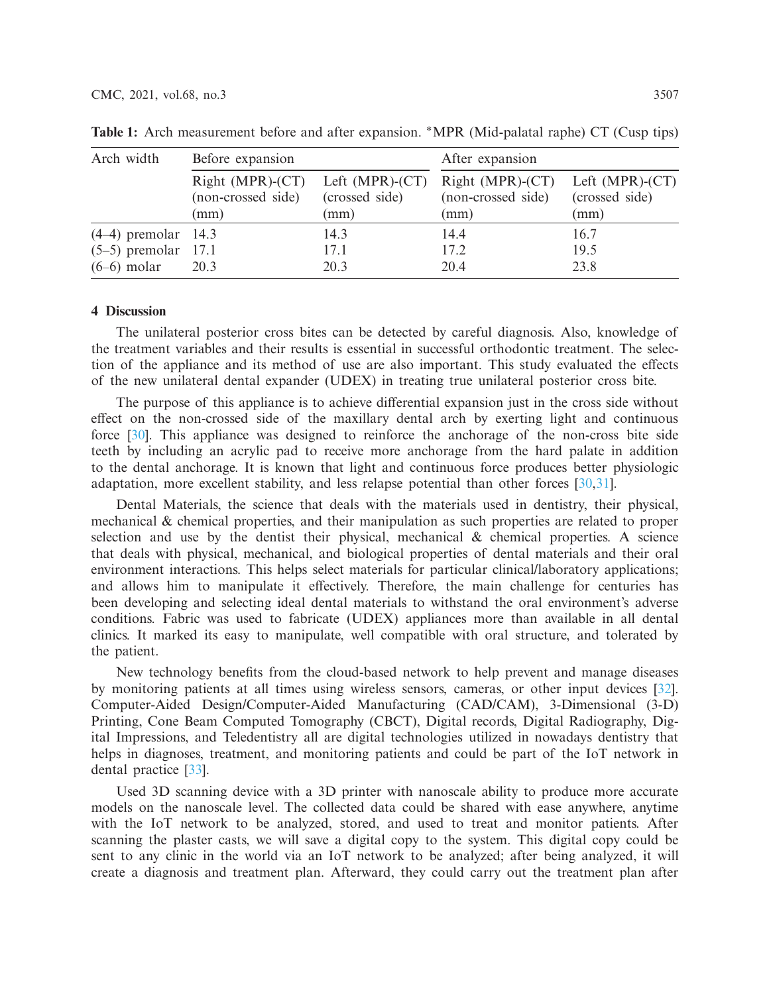| Arch width            | Before expansion                                               |                        | After expansion                                  |                                           |  |
|-----------------------|----------------------------------------------------------------|------------------------|--------------------------------------------------|-------------------------------------------|--|
|                       | Right (MPR)-(CT) Left (MPR)-(CT)<br>(non-crossed side)<br>(mm) | (crossed side)<br>(mm) | $Right (MPR)-(CT)$<br>(non-crossed side)<br>(mm) | Left (MPR)-(CT)<br>(crossed side)<br>(mm) |  |
| $(4-4)$ premolar 14.3 |                                                                | 14.3                   | 14.4                                             | 16.7                                      |  |
| $(5-5)$ premolar 17.1 |                                                                | 17.1                   | 17.2                                             | 19.5                                      |  |
| $(6-6)$ molar         | 20.3                                                           | 20.3                   | 20.4                                             | 23.8                                      |  |

<span id="page-8-0"></span>**Table 1:** Arch measurement before and after expansion. ∗MPR (Mid-palatal raphe) CT (Cusp tips)

#### **4 Discussion**

The unilateral posterior cross bites can be detected by careful diagnosis. Also, knowledge of the treatment variables and their results is essential in successful orthodontic treatment. The selection of the appliance and its method of use are also important. This study evaluated the effects of the new unilateral dental expander (UDEX) in treating true unilateral posterior cross bite.

The purpose of this appliance is to achieve differential expansion just in the cross side without effect on the non-crossed side of the maxillary dental arch by exerting light and continuous force [\[30\]](#page-12-3). This appliance was designed to reinforce the anchorage of the non-cross bite side teeth by including an acrylic pad to receive more anchorage from the hard palate in addition to the dental anchorage. It is known that light and continuous force produces better physiologic adaptation, more excellent stability, and less relapse potential than other forces [\[30](#page-12-3)[,31\]](#page-12-4).

Dental Materials, the science that deals with the materials used in dentistry, their physical, mechanical & chemical properties, and their manipulation as such properties are related to proper selection and use by the dentist their physical, mechanical  $\&$  chemical properties. A science that deals with physical, mechanical, and biological properties of dental materials and their oral environment interactions. This helps select materials for particular clinical/laboratory applications; and allows him to manipulate it effectively. Therefore, the main challenge for centuries has been developing and selecting ideal dental materials to withstand the oral environment's adverse conditions. Fabric was used to fabricate (UDEX) appliances more than available in all dental clinics. It marked its easy to manipulate, well compatible with oral structure, and tolerated by the patient.

New technology benefits from the cloud-based network to help prevent and manage diseases by monitoring patients at all times using wireless sensors, cameras, or other input devices [\[32\]](#page-12-5). Computer-Aided Design/Computer-Aided Manufacturing (CAD/CAM), 3-Dimensional (3-D) Printing, Cone Beam Computed Tomography (CBCT), Digital records, Digital Radiography, Digital Impressions, and Teledentistry all are digital technologies utilized in nowadays dentistry that helps in diagnoses, treatment, and monitoring patients and could be part of the IoT network in dental practice [\[33](#page-12-6)].

Used 3D scanning device with a 3D printer with nanoscale ability to produce more accurate models on the nanoscale level. The collected data could be shared with ease anywhere, anytime with the IoT network to be analyzed, stored, and used to treat and monitor patients. After scanning the plaster casts, we will save a digital copy to the system. This digital copy could be sent to any clinic in the world via an IoT network to be analyzed; after being analyzed, it will create a diagnosis and treatment plan. Afterward, they could carry out the treatment plan after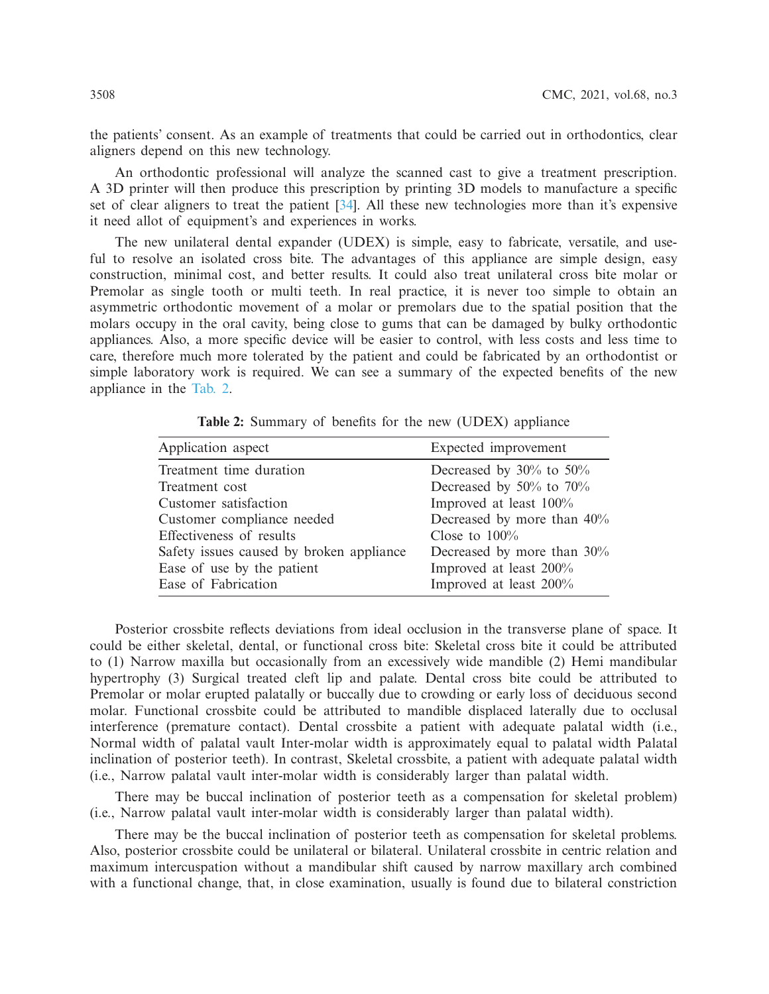the patients' consent. As an example of treatments that could be carried out in orthodontics, clear aligners depend on this new technology.

An orthodontic professional will analyze the scanned cast to give a treatment prescription. A 3D printer will then produce this prescription by printing 3D models to manufacture a specific set of clear aligners to treat the patient [\[34](#page-12-7)]. All these new technologies more than it's expensive it need allot of equipment's and experiences in works.

The new unilateral dental expander (UDEX) is simple, easy to fabricate, versatile, and useful to resolve an isolated cross bite. The advantages of this appliance are simple design, easy construction, minimal cost, and better results. It could also treat unilateral cross bite molar or Premolar as single tooth or multi teeth. In real practice, it is never too simple to obtain an asymmetric orthodontic movement of a molar or premolars due to the spatial position that the molars occupy in the oral cavity, being close to gums that can be damaged by bulky orthodontic appliances. Also, a more specific device will be easier to control, with less costs and less time to care, therefore much more tolerated by the patient and could be fabricated by an orthodontist or simple laboratory work is required. We can see a summary of the expected benefits of the new appliance in the [Tab. 2.](#page-9-0)

| Application aspect                       | Expected improvement          |
|------------------------------------------|-------------------------------|
| Treatment time duration                  | Decreased by $30\%$ to $50\%$ |
| Treatment cost                           | Decreased by 50% to 70%       |
| Customer satisfaction                    | Improved at least 100%        |
| Customer compliance needed               | Decreased by more than 40%    |
| Effectiveness of results                 | Close to $100\%$              |
| Safety issues caused by broken appliance | Decreased by more than $30\%$ |
| Ease of use by the patient               | Improved at least 200%        |
| Ease of Fabrication                      | Improved at least 200%        |

<span id="page-9-0"></span>**Table 2:** Summary of benefits for the new (UDEX) appliance

Posterior crossbite reflects deviations from ideal occlusion in the transverse plane of space. It could be either skeletal, dental, or functional cross bite: Skeletal cross bite it could be attributed to (1) Narrow maxilla but occasionally from an excessively wide mandible (2) Hemi mandibular hypertrophy (3) Surgical treated cleft lip and palate. Dental cross bite could be attributed to Premolar or molar erupted palatally or buccally due to crowding or early loss of deciduous second molar. Functional crossbite could be attributed to mandible displaced laterally due to occlusal interference (premature contact). Dental crossbite a patient with adequate palatal width (i.e., Normal width of palatal vault Inter-molar width is approximately equal to palatal width Palatal inclination of posterior teeth). In contrast, Skeletal crossbite, a patient with adequate palatal width (i.e., Narrow palatal vault inter-molar width is considerably larger than palatal width.

There may be buccal inclination of posterior teeth as a compensation for skeletal problem) (i.e., Narrow palatal vault inter-molar width is considerably larger than palatal width).

There may be the buccal inclination of posterior teeth as compensation for skeletal problems. Also, posterior crossbite could be unilateral or bilateral. Unilateral crossbite in centric relation and maximum intercuspation without a mandibular shift caused by narrow maxillary arch combined with a functional change, that, in close examination, usually is found due to bilateral constriction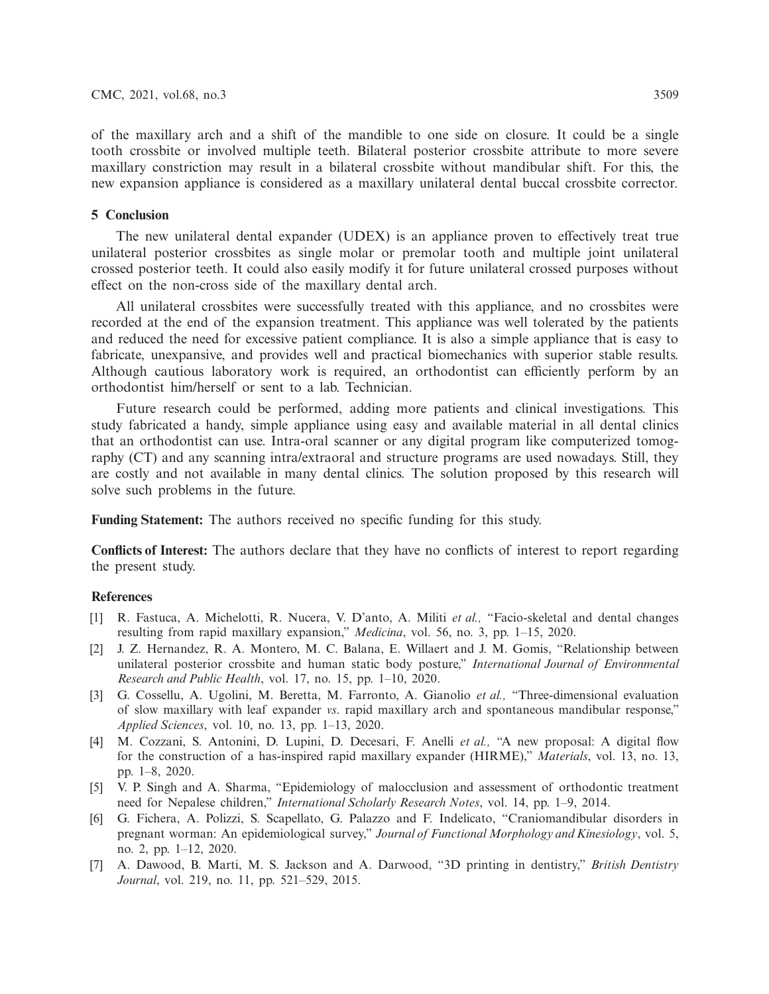of the maxillary arch and a shift of the mandible to one side on closure. It could be a single tooth crossbite or involved multiple teeth. Bilateral posterior crossbite attribute to more severe maxillary constriction may result in a bilateral crossbite without mandibular shift. For this, the new expansion appliance is considered as a maxillary unilateral dental buccal crossbite corrector.

# **5 Conclusion**

The new unilateral dental expander (UDEX) is an appliance proven to effectively treat true unilateral posterior crossbites as single molar or premolar tooth and multiple joint unilateral crossed posterior teeth. It could also easily modify it for future unilateral crossed purposes without effect on the non-cross side of the maxillary dental arch.

All unilateral crossbites were successfully treated with this appliance, and no crossbites were recorded at the end of the expansion treatment. This appliance was well tolerated by the patients and reduced the need for excessive patient compliance. It is also a simple appliance that is easy to fabricate, unexpansive, and provides well and practical biomechanics with superior stable results. Although cautious laboratory work is required, an orthodontist can efficiently perform by an orthodontist him/herself or sent to a lab. Technician.

Future research could be performed, adding more patients and clinical investigations. This study fabricated a handy, simple appliance using easy and available material in all dental clinics that an orthodontist can use. Intra-oral scanner or any digital program like computerized tomography (CT) and any scanning intra/extraoral and structure programs are used nowadays. Still, they are costly and not available in many dental clinics. The solution proposed by this research will solve such problems in the future.

**Funding Statement:** The authors received no specific funding for this study.

**Conflicts of Interest:** The authors declare that they have no conflicts of interest to report regarding the present study.

# **References**

- <span id="page-10-0"></span>[1] R. Fastuca, A. Michelotti, R. Nucera, V. D'anto, A. Militi *et al.,* "Facio-skeletal and dental changes resulting from rapid maxillary expansion," *Medicina*, vol. 56, no. 3, pp. 1–15, 2020.
- <span id="page-10-1"></span>[2] J. Z. Hernandez, R. A. Montero, M. C. Balana, E. Willaert and J. M. Gomis, "Relationship between unilateral posterior crossbite and human static body posture," *International Journal of Environmental Research and Public Health*, vol. 17, no. 15, pp. 1–10, 2020.
- <span id="page-10-2"></span>[3] G. Cossellu, A. Ugolini, M. Beretta, M. Farronto, A. Gianolio *et al.,* "Three-dimensional evaluation of slow maxillary with leaf expander *vs*. rapid maxillary arch and spontaneous mandibular response," *Applied Sciences*, vol. 10, no. 13, pp. 1–13, 2020.
- <span id="page-10-3"></span>[4] M. Cozzani, S. Antonini, D. Lupini, D. Decesari, F. Anelli *et al.,* "A new proposal: A digital flow for the construction of a has-inspired rapid maxillary expander (HIRME)," *Materials*, vol. 13, no. 13, pp. 1–8, 2020.
- [5] V. P. Singh and A. Sharma, "Epidemiology of malocclusion and assessment of orthodontic treatment need for Nepalese children," *International Scholarly Research Notes*, vol. 14, pp. 1–9, 2014.
- <span id="page-10-4"></span>[6] G. Fichera, A. Polizzi, S. Scapellato, G. Palazzo and F. Indelicato, "Craniomandibular disorders in pregnant worman: An epidemiological survey," *Journal of Functional Morphology and Kinesiology*, vol. 5, no. 2, pp. 1–12, 2020.
- <span id="page-10-5"></span>[7] A. Dawood, B. Marti, M. S. Jackson and A. Darwood, "3D printing in dentistry," *British Dentistry Journal*, vol. 219, no. 11, pp. 521–529, 2015.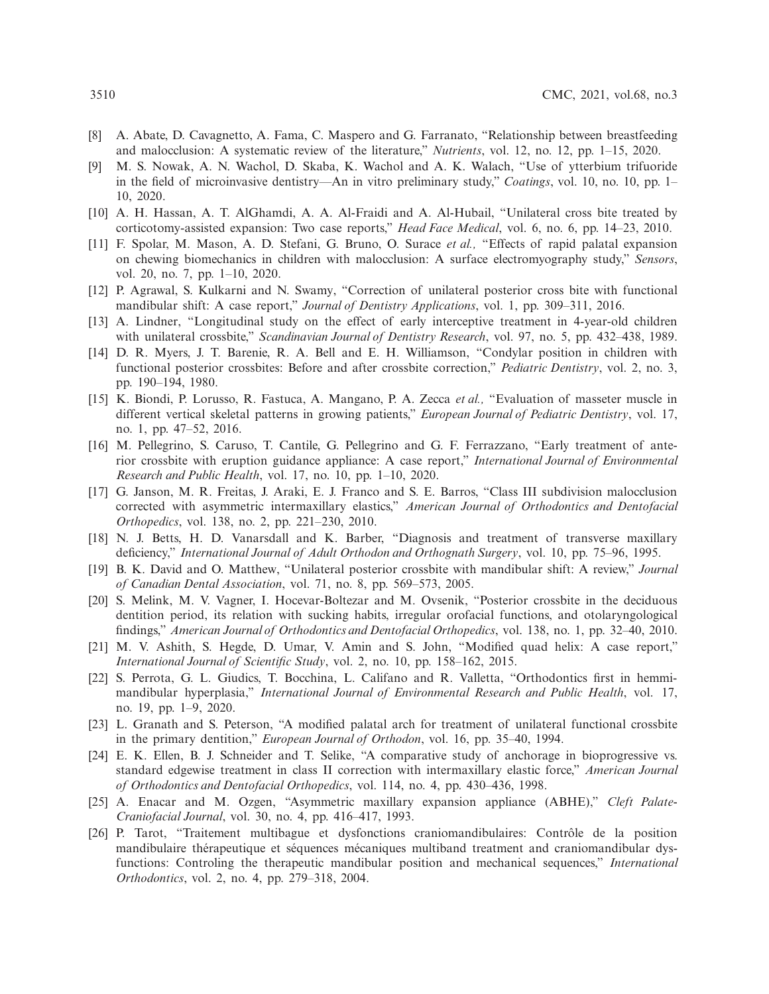- <span id="page-11-1"></span>[8] A. Abate, D. Cavagnetto, A. Fama, C. Maspero and G. Farranato, "Relationship between breastfeeding and malocclusion: A systematic review of the literature," *Nutrients*, vol. 12, no. 12, pp. 1–15, 2020.
- [9] M. S. Nowak, A. N. Wachol, D. Skaba, K. Wachol and A. K. Walach, "Use of ytterbium trifuoride in the field of microinvasive dentistry—An in vitro preliminary study," *Coatings*, vol. 10, no. 10, pp. 1– 10, 2020.
- <span id="page-11-0"></span>[10] A. H. Hassan, A. T. AlGhamdi, A. A. Al-Fraidi and A. Al-Hubail, "Unilateral cross bite treated by corticotomy-assisted expansion: Two case reports," *Head Face Medical*, vol. 6, no. 6, pp. 14–23, 2010.
- <span id="page-11-2"></span>[11] F. Spolar, M. Mason, A. D. Stefani, G. Bruno, O. Surace *et al.,* "Effects of rapid palatal expansion on chewing biomechanics in children with malocclusion: A surface electromyography study," *Sensors*, vol. 20, no. 7, pp. 1–10, 2020.
- [12] P. Agrawal, S. Kulkarni and N. Swamy, "Correction of unilateral posterior cross bite with functional mandibular shift: A case report," *Journal of Dentistry Applications*, vol. 1, pp. 309–311, 2016.
- <span id="page-11-3"></span>[13] A. Lindner, "Longitudinal study on the effect of early interceptive treatment in 4-year-old children with unilateral crossbite," *Scandinavian Journal of Dentistry Research*, vol. 97, no. 5, pp. 432–438, 1989.
- <span id="page-11-4"></span>[14] D. R. Myers, J. T. Barenie, R. A. Bell and E. H. Williamson, "Condylar position in children with functional posterior crossbites: Before and after crossbite correction," *Pediatric Dentistry*, vol. 2, no. 3, pp. 190–194, 1980.
- <span id="page-11-5"></span>[15] K. Biondi, P. Lorusso, R. Fastuca, A. Mangano, P. A. Zecca *et al.,* "Evaluation of masseter muscle in different vertical skeletal patterns in growing patients," *European Journal of Pediatric Dentistry*, vol. 17, no. 1, pp. 47–52, 2016.
- <span id="page-11-6"></span>[16] M. Pellegrino, S. Caruso, T. Cantile, G. Pellegrino and G. F. Ferrazzano, "Early treatment of anterior crossbite with eruption guidance appliance: A case report," *International Journal of Environmental Research and Public Health*, vol. 17, no. 10, pp. 1–10, 2020.
- <span id="page-11-7"></span>[17] G. Janson, M. R. Freitas, J. Araki, E. J. Franco and S. E. Barros, "Class III subdivision malocclusion corrected with asymmetric intermaxillary elastics," *American Journal of Orthodontics and Dentofacial Orthopedics*, vol. 138, no. 2, pp. 221–230, 2010.
- <span id="page-11-8"></span>[18] N. J. Betts, H. D. Vanarsdall and K. Barber, "Diagnosis and treatment of transverse maxillary deficiency," *International Journal of Adult Orthodon and Orthognath Surgery*, vol. 10, pp. 75–96, 1995.
- <span id="page-11-9"></span>[19] B. K. David and O. Matthew, "Unilateral posterior crossbite with mandibular shift: A review," *Journal of Canadian Dental Association*, vol. 71, no. 8, pp. 569–573, 2005.
- <span id="page-11-10"></span>[20] S. Melink, M. V. Vagner, I. Hocevar-Boltezar and M. Ovsenik, "Posterior crossbite in the deciduous dentition period, its relation with sucking habits, irregular orofacial functions, and otolaryngological findings," *American Journal of Orthodontics and Dentofacial Orthopedics*, vol. 138, no. 1, pp. 32–40, 2010.
- <span id="page-11-11"></span>[21] M. V. Ashith, S. Hegde, D. Umar, V. Amin and S. John, "Modified quad helix: A case report," *International Journal of Scientific Study*, vol. 2, no. 10, pp. 158–162, 2015.
- <span id="page-11-12"></span>[22] S. Perrota, G. L. Giudics, T. Bocchina, L. Califano and R. Valletta, "Orthodontics first in hemmimandibular hyperplasia," *International Journal of Environmental Research and Public Health*, vol. 17, no. 19, pp. 1–9, 2020.
- <span id="page-11-13"></span>[23] L. Granath and S. Peterson, "A modified palatal arch for treatment of unilateral functional crossbite in the primary dentition," *European Journal of Orthodon*, vol. 16, pp. 35–40, 1994.
- <span id="page-11-14"></span>[24] E. K. Ellen, B. J. Schneider and T. Selike, "A comparative study of anchorage in bioprogressive vs. standard edgewise treatment in class II correction with intermaxillary elastic force," *American Journal of Orthodontics and Dentofacial Orthopedics*, vol. 114, no. 4, pp. 430–436, 1998.
- <span id="page-11-15"></span>[25] A. Enacar and M. Ozgen, "Asymmetric maxillary expansion appliance (ABHE)," *Cleft Palate-Craniofacial Journal*, vol. 30, no. 4, pp. 416–417, 1993.
- <span id="page-11-16"></span>[26] P. Tarot, "Traitement multibague et dysfonctions craniomandibulaires: Contrôle de la position mandibulaire thérapeutique et séquences mécaniques multiband treatment and craniomandibular dysfunctions: Controling the therapeutic mandibular position and mechanical sequences," *International Orthodontics*, vol. 2, no. 4, pp. 279–318, 2004.